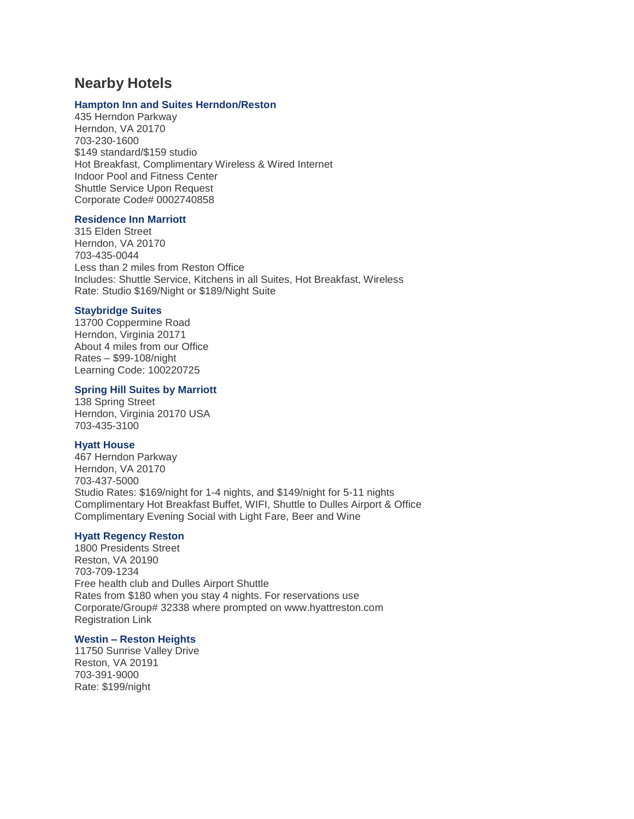## **Nearby Hotels**

#### **[Hampton Inn and Suites Herndon/Reston](http://hamptoninn3.hilton.com/en/hotels/virginia/hampton-inn-and-suites-herndon-reston-WASHNHX/index.html)**

435 Herndon Parkway Herndon, VA 20170 703-230-1600 \$149 standard/\$159 studio Hot Breakfast, Complimentary Wireless & Wired Internet Indoor Pool and Fitness Center Shuttle Service Upon Request Corporate Code# 0002740858

#### **[Residence Inn Marriott](http://www.marriott.com/hotels/travel/iadhr-residence-inn-herndon-reston/)**

315 Elden Street Herndon, VA 20170 703-435-0044 Less than 2 miles from Reston Office Includes: Shuttle Service, Kitchens in all Suites, Hot Breakfast, Wireless Rate: Studio \$169/Night or \$189/Night Suite

#### **[Staybridge Suites](https://www.ihg.com/staybridge/hotels/us/en/herndon/wascr/hoteldetail?cm_mmc=GoogleMaps-_-SB-_-US-_-WASCR)**

13700 Coppermine Road Herndon, Virginia 20171 About 4 miles from our Office Rates – \$99-108/night Learning Code: 100220725

#### **[Spring Hill Suites by Marriott](http://www.marriott.com/hotels/travel/iadsh-springhill-suites-herndon-reston/)**

138 Spring Street Herndon, Virginia 20170 USA 703-435-3100

#### **[Hyatt House](https://herndonreston.house.hyatt.com/en/hotel/home.html)**

467 Herndon Parkway Herndon, VA 20170 703-437-5000 Studio Rates: \$169/night for 1-4 nights, and \$149/night for 5-11 nights Complimentary Hot Breakfast Buffet, WIFI, Shuttle to Dulles Airport & Office Complimentary Evening Social with Light Fare, Beer and Wine

#### **[Hyatt Regency Reston](https://reston.regency.hyatt.com/en/hotel/home.html)**

1800 Presidents Street Reston, VA 20190 703-709-1234 Free health club and Dulles Airport Shuttle Rates from \$180 when you stay 4 nights. For reservations use Corporate/Group# 32338 where prompted on www.hyattreston.com Registration Link

#### **Westin – [Reston Heights](http://www.westinreston.com/)**

11750 Sunrise Valley Drive Reston, VA 20191 703-391-9000 Rate: \$199/night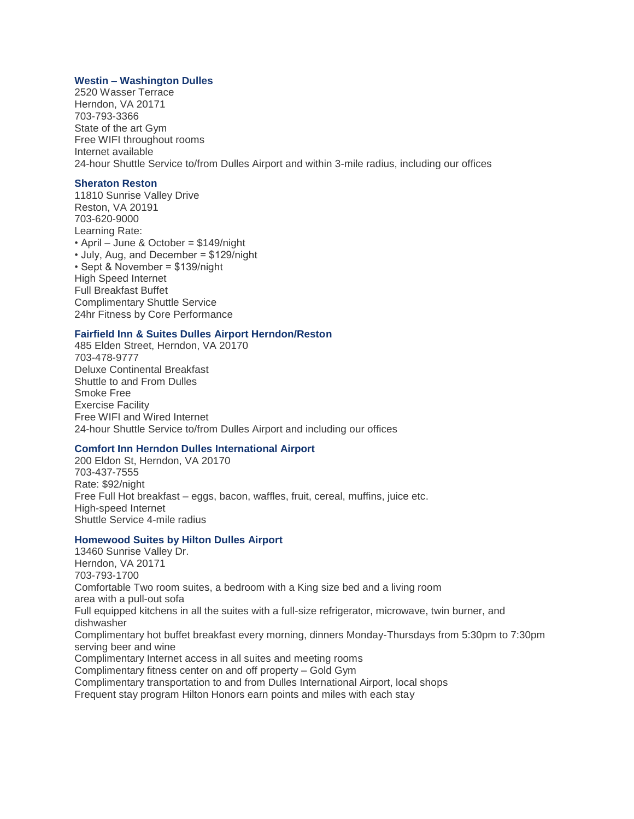#### **Westin – [Washington Dulles](http://www.westindulles.com/)**

2520 Wasser Terrace Herndon, VA 20171 703-793-3366 State of the art Gym Free WIFI throughout rooms Internet available 24-hour Shuttle Service to/from Dulles Airport and within 3-mile radius, including our offices

#### **[Sheraton Reston](http://www.sheratonreston.com/)**

11810 Sunrise Valley Drive Reston, VA 20191 703-620-9000 Learning Rate: • April – June & October = \$149/night • July, Aug, and December = \$129/night • Sept & November = \$139/night High Speed Internet Full Breakfast Buffet Complimentary Shuttle Service 24hr Fitness by Core Performance

#### **[Fairfield Inn & Suites Dulles Airport Herndon/Reston](http://www.marriott.com/hotels/travel/iaddh-fairfield-inn-and-suites-dulles-airport-herndon-reston/?scid=bb1a189a-fec3-4d19-a255-54ba596febe2)**

485 Elden Street, Herndon, VA 20170 703-478-9777 Deluxe Continental Breakfast Shuttle to and From Dulles Smoke Free Exercise Facility Free WIFI and Wired Internet 24-hour Shuttle Service to/from Dulles Airport and including our offices

#### **[Comfort Inn Herndon Dulles International Airport](https://www.choicehotels.com/virginia/herndon/comfort-inn-hotels/va405?source=gyxt)**

200 Eldon St, Herndon, VA 20170 703-437-7555 Rate: \$92/night Free Full Hot breakfast – eggs, bacon, waffles, fruit, cereal, muffins, juice etc. High-speed Internet Shuttle Service 4-mile radius

#### **[Homewood Suites by Hilton Dulles Airport](http://homewoodsuites3.hilton.com/en/hotels/virginia/homewood-suites-by-hilton-dulles-intl-airport-WASDLHW/index.html)**

13460 Sunrise Valley Dr. Herndon, VA 20171 703-793-1700 Comfortable Two room suites, a bedroom with a King size bed and a living room area with a pull-out sofa Full equipped kitchens in all the suites with a full-size refrigerator, microwave, twin burner, and dishwasher Complimentary hot buffet breakfast every morning, dinners Monday-Thursdays from 5:30pm to 7:30pm serving beer and wine Complimentary Internet access in all suites and meeting rooms Complimentary fitness center on and off property – Gold Gym Complimentary transportation to and from Dulles International Airport, local shops Frequent stay program Hilton Honors earn points and miles with each stay